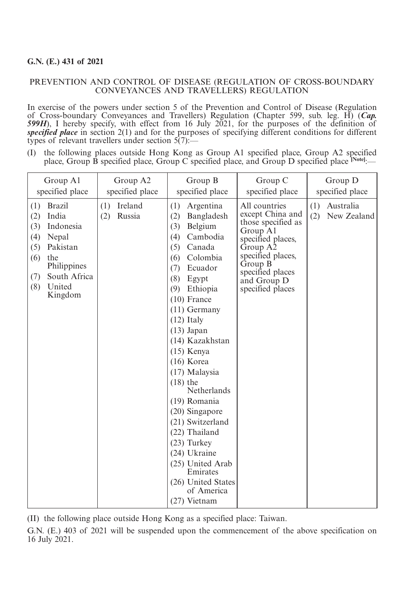## **G.N. (E.) 431 of 2021**

## PREVENTION AND CONTROL OF DISEASE (REGULATION OF CROSS-BOUNDARY CONVEYANCES AND TRAVELLERS) REGULATION

In exercise of the powers under section 5 of the Prevention and Control of Disease (Regulation of Cross-boundary Conveyances and Travellers) Regulation (Chapter 599, sub. leg. H) (*Cap. 599H*), I hereby specify, with effect from 16 July 2021, for the purposes of the definition of *specified place* in section 2(1) and for the purposes of specifying different conditions for different types of relevant travellers under section  $5(7)$ :

(I) the following places outside Hong Kong as Group A1 specified place, Group A2 specified place, Group B specified place, Group C specified place, and Group D specified place <sup>[Note]</sup>:-

| Group A1                                                                                                                                                                    | Group A2                        | Group B                                                                                                                                                                                                                                                                                                                                                                                                                                                                                                                               | Group C                                                                                                                                                                                     | Group D                             |
|-----------------------------------------------------------------------------------------------------------------------------------------------------------------------------|---------------------------------|---------------------------------------------------------------------------------------------------------------------------------------------------------------------------------------------------------------------------------------------------------------------------------------------------------------------------------------------------------------------------------------------------------------------------------------------------------------------------------------------------------------------------------------|---------------------------------------------------------------------------------------------------------------------------------------------------------------------------------------------|-------------------------------------|
| specified place                                                                                                                                                             | specified place                 | specified place                                                                                                                                                                                                                                                                                                                                                                                                                                                                                                                       | specified place                                                                                                                                                                             | specified place                     |
| <b>Brazil</b><br>(1)<br>India<br>(2)<br>Indonesia<br>(3)<br>(4)<br>Nepal<br>Pakistan<br>(5)<br>(6)<br>the<br>Philippines<br>South Africa<br>(7)<br>United<br>(8)<br>Kingdom | Ireland<br>(1)<br>Russia<br>(2) | Argentina<br>(1)<br>Bangladesh<br>(2)<br>Belgium<br>(3)<br>Cambodia<br>(4)<br>Canada<br>(5)<br>Colombia<br>(6)<br>Ecuador<br>(7)<br>(8)<br>Egypt<br>Ethiopia<br>(9)<br>$(10)$ France<br>$(11)$ Germany<br>$(12)$ Italy<br>$(13)$ Japan<br>(14) Kazakhstan<br>$(15)$ Kenya<br>$(16)$ Korea<br>(17) Malaysia<br>$(18)$ the<br>Netherlands<br>(19) Romania<br>(20) Singapore<br>(21) Switzerland<br>(22) Thailand<br>$(23)$ Turkey<br>(24) Ukraine<br>(25) United Arab<br>Emirates<br>(26) United States<br>of America<br>$(27)$ Vietnam | All countries<br>except China and<br>those specified as<br>Group A1<br>specified places,<br>Group A2<br>specified places,<br>Group B<br>specified places<br>and Group D<br>specified places | (1) Australia<br>(2)<br>New Zealand |

(II) the following place outside Hong Kong as a specified place: Taiwan.

G.N. (E.) 403 of 2021 will be suspended upon the commencement of the above specification on 16 July 2021.